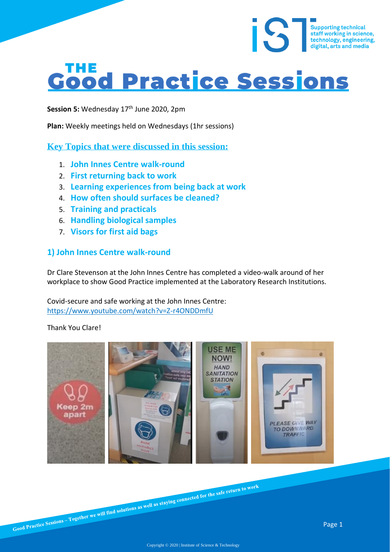# **Good Practice Sessions**

Session 5: Wednesday 17<sup>th</sup> June 2020, 2pm

**Plan:** Weekly meetings held on Wednesdays (1hr sessions)

**Key Topics that were discussed in this session:**

- 1. **John Innes Centre walk-round**
- 2. **First returning back to work**
- 3. **Learning experiences from being back at work**
- 4. **How often should surfaces be cleaned?**
- 5. **Training and practicals**
- 6. **Handling biological samples**
- 7. **Visors for first aid bags**

#### **1) John Innes Centre walk-round**

Dr Clare Stevenson at the John Innes Centre has completed a video-walk around of her workplace to show Good Practice implemented at the Laboratory Research Institutions.

Covid-secure and safe working at the John Innes Centre: <https://www.youtube.com/watch?v=Z-r4ONDDmfU>

#### Thank You Clare!



Supporting technical<br>staff working in science,<br>technology, engineering,<br>digital, arts and media

digital, arts and media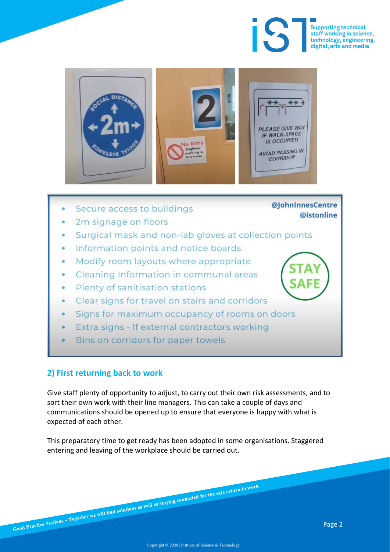

@lohnInnesCentre

@istonline



- Secure access to buildings
- 2m signage on floors
- Surgical mask and non-lab gloves at collection points
- Information points and notice boards
- Modify room layouts where appropriate  $\bullet$
- Cleaning Information in communal areas
- Plenty of sanitisation stations
- Clear signs for travel on stairs and corridors
- Signs for maximum occupancy of rooms on doors
- Extra signs If external contractors working
- Bins on corridors for paper towels

#### **2) First returning back to work**

Give staff plenty of opportunity to adjust, to carry out their own risk assessments, and to sort their own work with their line managers. This can take a couple of days and communications should be opened up to ensure that everyone is happy with what is expected of each other.

This preparatory time to get ready has been adopted in some organisations. Staggered entering and leaving of the workplace should be carried out.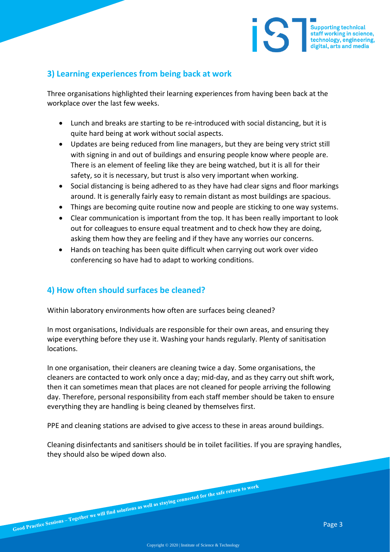

Three organisations highlighted their learning experiences from having been back at the workplace over the last few weeks.

- Lunch and breaks are starting to be re-introduced with social distancing, but it is quite hard being at work without social aspects.
- Updates are being reduced from line managers, but they are being very strict still with signing in and out of buildings and ensuring people know where people are. There is an element of feeling like they are being watched, but it is all for their safety, so it is necessary, but trust is also very important when working.
- Social distancing is being adhered to as they have had clear signs and floor markings around. It is generally fairly easy to remain distant as most buildings are spacious.
- Things are becoming quite routine now and people are sticking to one way systems.
- Clear communication is important from the top. It has been really important to look out for colleagues to ensure equal treatment and to check how they are doing, asking them how they are feeling and if they have any worries our concerns.
- Hands on teaching has been quite difficult when carrying out work over video conferencing so have had to adapt to working conditions.

#### **4) How often should surfaces be cleaned?**

Within laboratory environments how often are surfaces being cleaned?

In most organisations, Individuals are responsible for their own areas, and ensuring they wipe everything before they use it. Washing your hands regularly. Plenty of sanitisation locations.

In one organisation, their cleaners are cleaning twice a day. Some organisations, the cleaners are contacted to work only once a day; mid-day, and as they carry out shift work, then it can sometimes mean that places are not cleaned for people arriving the following day. Therefore, personal responsibility from each staff member should be taken to ensure everything they are handling is being cleaned by themselves first.

PPE and cleaning stations are advised to give access to these in areas around buildings.

Cleaning disinfectants and sanitisers should be in toilet facilities. If you are spraying handles, they should also be wiped down also.

Supporting technical<br>staff working in science,<br>technology, engineering, digital, arts and media